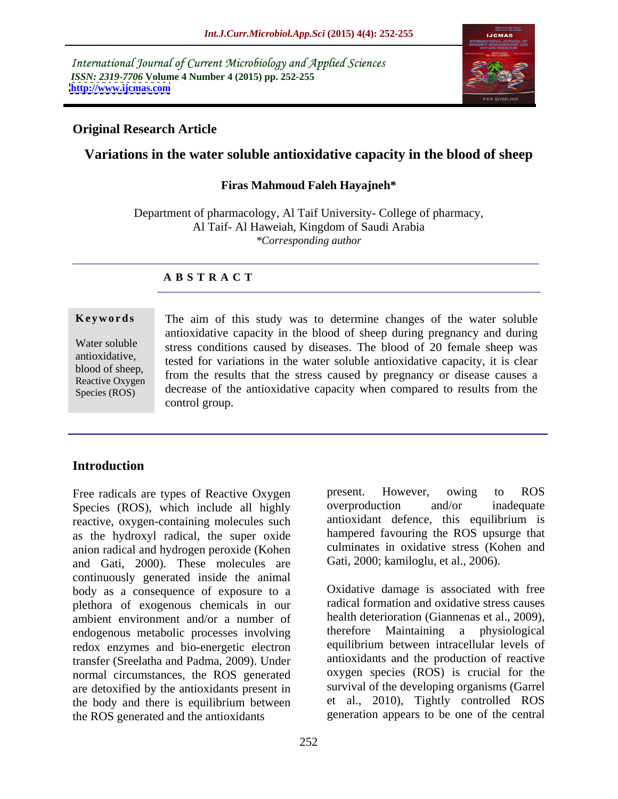International Journal of Current Microbiology and Applied Sciences *ISSN: 2319-7706* **Volume 4 Number 4 (2015) pp. 252-255 <http://www.ijcmas.com>**



## **Original Research Article**

# **Variations in the water soluble antioxidative capacity in the blood of sheep**

### **Firas Mahmoud Faleh Hayajneh\***

Department of pharmacology, Al Taif University- College of pharmacy, Al Taif- Al Haweiah, Kingdom of Saudi Arabia *\*Corresponding author*

## **A B S T R A C T**

Species (ROS)

**Keywords** The aim of this study was to determine changes of the water soluble antioxidative capacity in the blood of sheep during pregnancy and during Water soluble stress conditions caused by diseases. The blood of 20 female sheep was antioxidative, tested for variations in the water soluble antioxidative capacity, it is clear blood of sheep,<br>Beactive Oxygen from the results that the stress caused by pregnancy or disease causes a Reactive Oxygen  $\frac{1}{2}$  from the results that the stress caused by pregnancy of disease causes a decrease of the antioxidative capacity when compared to results from the control group.

## **Introduction**

Species (ROS), which include all highly reactive, oxygen-containing molecules such as the hydroxyl radical, the super oxide anion radical and hydrogen peroxide (Kohen and Gati, 2000). These molecules are continuously generated inside the animal body as a consequence of exposure to a plethora of exogenous chemicals in our ambient environment and/or a number of endogenous metabolic processes involving redox enzymes and bio-energetic electron transfer (Sreelatha and Padma, 2009). Under normal circumstances, the ROS generated are detoxified by the antioxidants present in the body and there is equilibrium between the ROS generated and the antioxidants

Free radicals are types of Reactive Oxygen<br>
Species (ROS) which include all highly<br>
overproduction and/or inadequate present. However, owing to ROS overproduction and/or inadequate antioxidant defence, this equilibrium is hampered favouring the ROS upsurge that culminates in oxidative stress (Kohen and Gati, 2000; kamiloglu, et al., 2006).

> Oxidative damage is associated with free radical formation and oxidative stress causes health deterioration (Giannenas et al., 2009), therefore Maintaining a physiological equilibrium between intracellular levels of antioxidants and the production of reactive oxygen species (ROS) is crucial for the survival of the developing organisms (Garrel et al., 2010), Tightly controlled ROS generation appears to be one of the central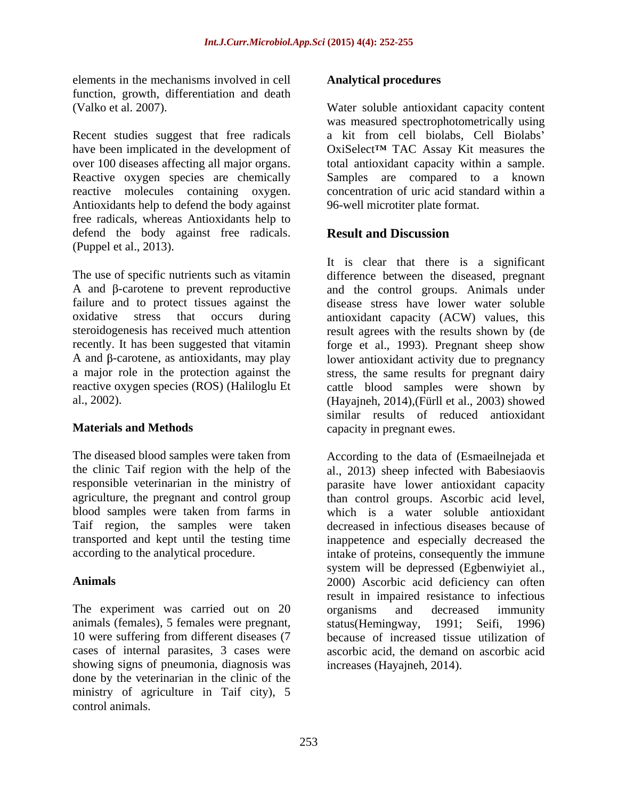elements in the mechanisms involved in cell function, growth, differentiation and death

Recent studies suggest that free radicals Reactive oxygen species are chemically reactive molecules containing oxygen. Antioxidants help to defend the body against free radicals, whereas Antioxidants help to defend the body against free radicals. **Result and Discussion** (Puppel et al., 2013).

The diseased blood samples were taken from According to the data of (Esmaeilnejada et Taif region, the samples were taken

The experiment was carried out on 20 organisms and decreased immunity animals (females), 5 females were pregnant, 10 were suffering from different diseases (7 showing signs of pneumonia, diagnosis was done by the veterinarian in the clinic of the ministry of agriculture in Taif city), 5 control animals.

### **Analytical procedures**

(Valko et al. 2007). Water soluble antioxidant capacity content have been implicated in the development of OxiSelect<sup>TM</sup> TAC Assay Kit measures the over 100 diseases affecting all major organs. total antioxidant capacity within a sample. was measured spectrophotometrically using a kit from cell biolabs, Cell Biolabs Samples are compared to a known concentration of uric acid standard within a 96-well microtiter plate format.

# **Result and Discussion**

The use of specific nutrients such as vitamin difference between the diseased, pregnant A and  $\beta$ -carotene to prevent reproductive and the control groups. Animals under failure and to protect tissues against the disease stress have lower water soluble oxidative stress that occurs during antioxidant capacity (ACW) values, this steroidogenesis has received much attention result agrees with the results shown by (de recently. It has been suggested that vitamin forge et al., 1993). Pregnant sheep show  $A$  and  $\beta$ -carotene, as antioxidants, may play lower antioxidant activity due to pregnancy a major role in the protection against the stress, the same results for pregnant dairy reactive oxygen species (ROS) (Haliloglu Et cattle blood samples were shown by al., 2002). (Hayajneh, 2014),(Fürll et al., 2003) showed **Materials and Methods** capacity in pregnant ewes. It is clear that there is a significant similar results of reduced antioxidant

the clinic Taif region with the help of the al., 2013) sheep infected with Babesiaovis responsible veterinarian in the ministry of parasite have lower antioxidant capacity agriculture, the pregnant and control group than control groups. Ascorbic acid level, blood samples were taken from farms in which is a water soluble antioxidant transported and kept until the testing time inappetence and especially decreased the according to the analytical procedure. intake of proteins, consequently the immune **Animals** 2000) Ascorbic acid deficiency can often cases of internal parasites, 3 cases were ascorbic acid, the demand on ascorbic acid decreased in infectious diseases because of system will be depressed (Egbenwiyiet al., result in impaired resistance to infectious organisms and decreased immunity status(Hemingway, 1991; Seifi, 1996) because of increased tissue utilization of increases (Hayajneh, 2014).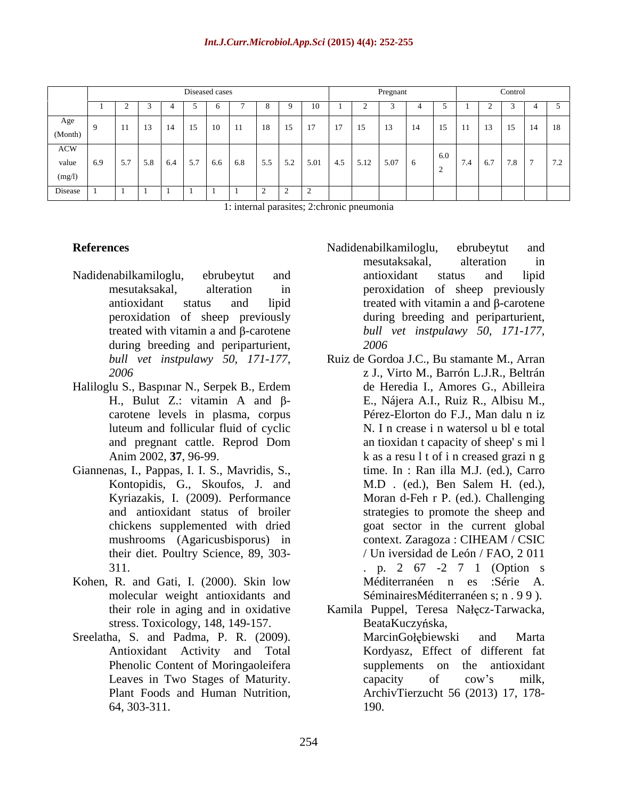1: internal parasites; 2:chronic pneumonia

- during breeding and periparturient,  $2006$
- Haliloglu S., Baspinar N., Serpek B., Erdem carotene levels in plasma, corpus
- Giannenas, I., Pappas, I. I. S., Mavridis, S., chickens supplemented with dried their diet. Poultry Science, 89, 303-
- Kohen, R. and Gati, I. (2000). Skin low molecular weight antioxidants and stress. Toxicology, 148, 149-157.
- Phenolic Content of Moringaoleifera
- **References** and **References References References References References References References References References References References References References References References Reference** Nadidenabilkamiloglu, ebrubeytut and mesutaksakal, alteration in peroxidation of sheep previously antioxidant status and lipid treated with vitamin a and  $\beta$ -carotene peroxidation of sheep previously during breeding and periparturient, *s* treated with vitamin a and β-carotene *bull vet instpulawy* 50, 171-177, Nadidenabilkamiloglu, ebrubeytut and mesutaksakal, alteration in antioxidant status and lipid *2006*
	- *bull vet instpulawy 50, 171-177,*  Ruiz de Gordoa J.C., Bu stamante M., Arran *2006* z J., Virto M., Barrón L.J.R., Beltrán H., Bulut Z.: vitamin A and β-<br>
	E., Nájera A.I., Ruiz R., Albisu M., luteum and follicular fluid of cyclic N. I n crease i n watersol u bl e total and pregnant cattle. Reprod Dom Anim 2002, 37, 96-99. **k** as a result of increased grazing Kontopidis, G., Skoufos, J. and M.D. (ed.), Ben Salem H. (ed.), Kyriazakis, I. (2009). Performance Moran d-Feh r P. (ed.). Challenging and antioxidant status of broiler strategies to promote the sheep and mushrooms (Agaricusbisporus) in context. Zaragoza : CIHEAM / CSIC 311. . p. 2 67 -2 7 1 (Option s de Heredia I., Amores G., Abilleira E., Nájera A.I., Ruiz R., Albisu M., Pérez-Elorton do F.J., Man dalu n iz N. I n crease i n watersol u bl e total an tioxidan t capacity of sheep' s mi l time. In : Ran illa M.J. (ed.), Carro M.D . (ed.), Ben Salem H. (ed.), goat sector in the current global context. Zaragoza : CIHEAM / CSIC / Un iversidad de León / FAO, 2 011 Méditerranéen n es :Série A. SéminairesMéditerranéen s; n . 9 9 ).
- their role in aging and in oxidative Kamila Puppel, Teresa Nałęcz-Tarwacka, Sreelatha, S. and Padma, P. R. (2009). MarcinGolebiewski and Marta Antioxidant Activity and Total Kordyasz, Effect of different fat Leaves in Two Stages of Maturity. The capacity of cow's milk, Plant Foods and Human Nutrition, ArchivTierzucht 56 (2013) 17, 178-64, 303-311. BeataKuczyńska, MarcinGołębiewski and Marta supplements on the antioxidant capacity of cow's milk, 190.